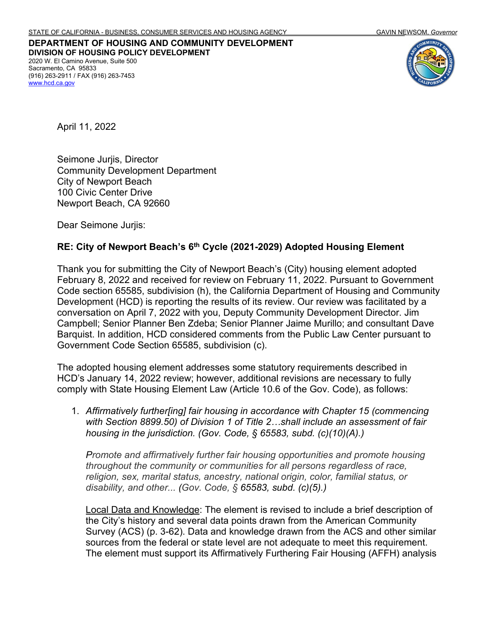**DEPARTMENT OF HOUSING AND COMMUNITY DEVELOPMENT DIVISION OF HOUSING POLICY DEVELOPMENT** 2020 W. El Camino Avenue, Suite 500 Sacramento, CA 95833 (916) 263-2911 / FAX (916) 263-7453 [www.hcd.ca.gov](http://www.hcd.ca.gov/)



April 11, 2022

Seimone Jurjis, Director Community Development Department City of Newport Beach 100 Civic Center Drive Newport Beach, CA 92660

Dear Seimone Jurjis:

## **RE: City of Newport Beach's 6th Cycle (2021-2029) Adopted Housing Element**

Thank you for submitting the City of Newport Beach's (City) housing element adopted February 8, 2022 and received for review on February 11, 2022. Pursuant to Government Code section 65585, subdivision (h), the California Department of Housing and Community Development (HCD) is reporting the results of its review. Our review was facilitated by a conversation on April 7, 2022 with you, Deputy Community Development Director. Jim Campbell; Senior Planner Ben Zdeba; Senior Planner Jaime Murillo; and consultant Dave Barquist. In addition, HCD considered comments from the Public Law Center pursuant to Government Code Section 65585, subdivision (c).

The adopted housing element addresses some statutory requirements described in HCD's January 14, 2022 review; however, additional revisions are necessary to fully comply with State Housing Element Law (Article 10.6 of the Gov. Code), as follows:

1. *Affirmatively further[ing] fair housing in accordance with Chapter 15 (commencing with Section 8899.50) of Division 1 of Title 2…shall include an assessment of fair housing in the jurisdiction. (Gov. Code, § 65583, subd. (c)(10)(A).)*

*Promote and affirmatively further fair housing opportunities and promote housing throughout the community or communities for all persons regardless of race, religion, sex, marital status, ancestry, national origin, color, familial status, or disability, and other... (Gov. Code, § 65583, subd. (c)(5).)*

Local Data and Knowledge: The element is revised to include a brief description of the City's history and several data points drawn from the American Community Survey (ACS) (p. 3-62). Data and knowledge drawn from the ACS and other similar sources from the federal or state level are not adequate to meet this requirement. The element must support its Affirmatively Furthering Fair Housing (AFFH) analysis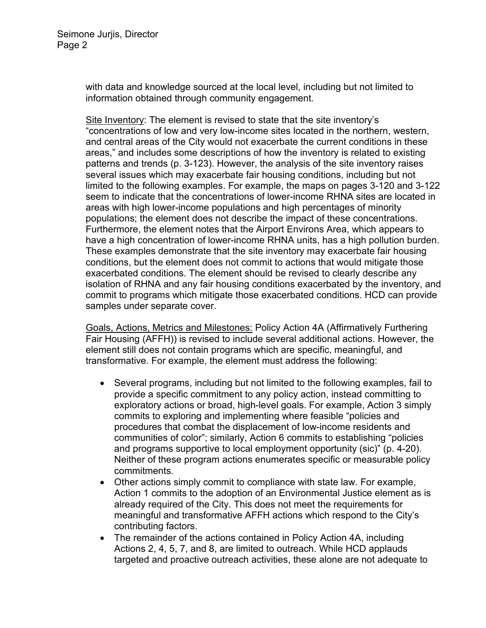with data and knowledge sourced at the local level, including but not limited to information obtained through community engagement.

Site Inventory: The element is revised to state that the site inventory's "concentrations of low and very low-income sites located in the northern, western, and central areas of the City would not exacerbate the current conditions in these areas," and includes some descriptions of how the inventory is related to existing patterns and trends (p. 3-123). However, the analysis of the site inventory raises several issues which may exacerbate fair housing conditions, including but not limited to the following examples. For example, the maps on pages 3-120 and 3-122 seem to indicate that the concentrations of lower-income RHNA sites are located in areas with high lower-income populations and high percentages of minority populations; the element does not describe the impact of these concentrations. Furthermore, the element notes that the Airport Environs Area, which appears to have a high concentration of lower-income RHNA units, has a high pollution burden. These examples demonstrate that the site inventory may exacerbate fair housing conditions, but the element does not commit to actions that would mitigate those exacerbated conditions. The element should be revised to clearly describe any isolation of RHNA and any fair housing conditions exacerbated by the inventory, and commit to programs which mitigate those exacerbated conditions. HCD can provide samples under separate cover.

Goals, Actions, Metrics and Milestones: Policy Action 4A (Affirmatively Furthering Fair Housing (AFFH)) is revised to include several additional actions. However, the element still does not contain programs which are specific, meaningful, and transformative. For example, the element must address the following:

- Several programs, including but not limited to the following examples, fail to provide a specific commitment to any policy action, instead committing to exploratory actions or broad, high-level goals. For example, Action 3 simply commits to exploring and implementing where feasible "policies and procedures that combat the displacement of low-income residents and communities of color"; similarly, Action 6 commits to establishing "policies and programs supportive to local employment opportunity (sic)" (p. 4-20). Neither of these program actions enumerates specific or measurable policy commitments.
- Other actions simply commit to compliance with state law. For example, Action 1 commits to the adoption of an Environmental Justice element as is already required of the City. This does not meet the requirements for meaningful and transformative AFFH actions which respond to the City's contributing factors.
- The remainder of the actions contained in Policy Action 4A, including Actions 2, 4, 5, 7, and 8, are limited to outreach. While HCD applauds targeted and proactive outreach activities, these alone are not adequate to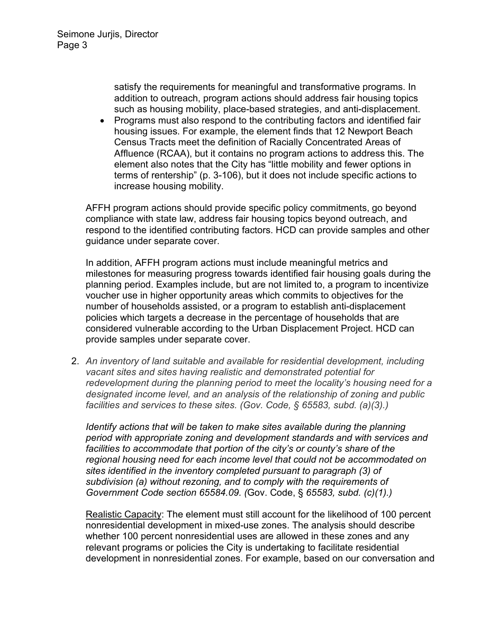satisfy the requirements for meaningful and transformative programs. In addition to outreach, program actions should address fair housing topics such as housing mobility, place-based strategies, and anti-displacement.

• Programs must also respond to the contributing factors and identified fair housing issues. For example, the element finds that 12 Newport Beach Census Tracts meet the definition of Racially Concentrated Areas of Affluence (RCAA), but it contains no program actions to address this. The element also notes that the City has "little mobility and fewer options in terms of rentership" (p. 3-106), but it does not include specific actions to increase housing mobility.

AFFH program actions should provide specific policy commitments, go beyond compliance with state law, address fair housing topics beyond outreach, and respond to the identified contributing factors. HCD can provide samples and other guidance under separate cover.

In addition, AFFH program actions must include meaningful metrics and milestones for measuring progress towards identified fair housing goals during the planning period. Examples include, but are not limited to, a program to incentivize voucher use in higher opportunity areas which commits to objectives for the number of households assisted, or a program to establish anti-displacement policies which targets a decrease in the percentage of households that are considered vulnerable according to the Urban Displacement Project. HCD can provide samples under separate cover.

2. *An inventory of land suitable and available for residential development, including vacant sites and sites having realistic and demonstrated potential for redevelopment during the planning period to meet the locality's housing need for a designated income level, and an analysis of the relationship of zoning and public facilities and services to these sites. (Gov. Code, § 65583, subd. (a)(3).)*

*Identify actions that will be taken to make sites available during the planning period with appropriate zoning and development standards and with services and facilities to accommodate that portion of the city's or county's share of the regional housing need for each income level that could not be accommodated on sites identified in the inventory completed pursuant to paragraph (3) of subdivision (a) without rezoning, and to comply with the requirements of Government Code section 65584.09. (*Gov. Code, § *65583, subd. (c)(1).)*

Realistic Capacity: The element must still account for the likelihood of 100 percent nonresidential development in mixed-use zones. The analysis should describe whether 100 percent nonresidential uses are allowed in these zones and any relevant programs or policies the City is undertaking to facilitate residential development in nonresidential zones. For example, based on our conversation and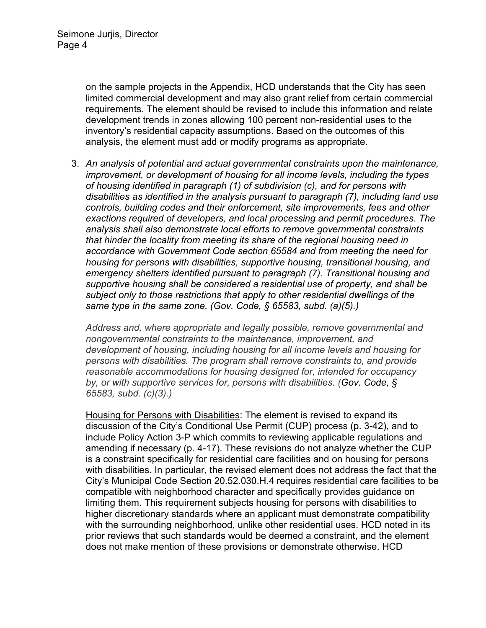on the sample projects in the Appendix, HCD understands that the City has seen limited commercial development and may also grant relief from certain commercial requirements. The element should be revised to include this information and relate development trends in zones allowing 100 percent non-residential uses to the inventory's residential capacity assumptions. Based on the outcomes of this analysis, the element must add or modify programs as appropriate.

3. *An analysis of potential and actual governmental constraints upon the maintenance, improvement, or development of housing for all income levels, including the types of housing identified in paragraph (1) of subdivision (c), and for persons with disabilities as identified in the analysis pursuant to paragraph (7), including land use controls, building codes and their enforcement, site improvements, fees and other exactions required of developers, and local processing and permit procedures. The analysis shall also demonstrate local efforts to remove governmental constraints that hinder the locality from meeting its share of the regional housing need in accordance with Government Code section 65584 and from meeting the need for housing for persons with disabilities, supportive housing, transitional housing, and emergency shelters identified pursuant to paragraph (7). Transitional housing and supportive housing shall be considered a residential use of property, and shall be subject only to those restrictions that apply to other residential dwellings of the same type in the same zone. (Gov. Code, § 65583, subd. (a)(5).)*

*Address and, where appropriate and legally possible, remove governmental and nongovernmental constraints to the maintenance, improvement, and development of housing, including housing for all income levels and housing for persons with disabilities. The program shall remove constraints to, and provide reasonable accommodations for housing designed for, intended for occupancy by, or with supportive services for, persons with disabilities. (Gov. Code, § 65583, subd. (c)(3).)*

Housing for Persons with Disabilities: The element is revised to expand its discussion of the City's Conditional Use Permit (CUP) process (p. 3-42), and to include Policy Action 3-P which commits to reviewing applicable regulations and amending if necessary (p. 4-17). These revisions do not analyze whether the CUP is a constraint specifically for residential care facilities and on housing for persons with disabilities. In particular, the revised element does not address the fact that the City's Municipal Code Section 20.52.030.H.4 requires residential care facilities to be compatible with neighborhood character and specifically provides guidance on limiting them. This requirement subjects housing for persons with disabilities to higher discretionary standards where an applicant must demonstrate compatibility with the surrounding neighborhood, unlike other residential uses. HCD noted in its prior reviews that such standards would be deemed a constraint, and the element does not make mention of these provisions or demonstrate otherwise. HCD